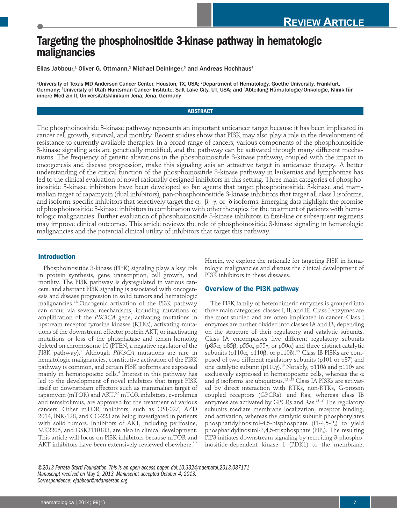# **Targeting the phosphoinositide 3-kinase pathway in hematologic malignancies**

Elias Jabbour,<sup>1</sup> Oliver G. Ottmann,<sup>2</sup> Michael Deininger,<sup>3</sup> and Andreas Hochhaus<sup>4</sup>

1 University of Texas MD Anderson Cancer Center, Houston, TX, USA; 2 Department of Hematology, Goethe University, Frankfurt, Germany; 3 University of Utah Huntsman Cancer Institute, Salt Lake City, UT, USA; and 4 Abteilung Hämatologie/Onkologie, Klinik für innere Medizin II, Universitätsklinikum Jena, Jena, Germany

## **ABSTRACT**

The phosphoinositide 3-kinase pathway represents an important anticancer target because it has been implicated in cancer cell growth, survival, and motility. Recent studies show that PI3K may also play a role in the development of resistance to currently available therapies. In a broad range of cancers, various components of the phosphoinositide 3-kinase signaling axis are genetically modified, and the pathway can be activated through many different mechanisms. The frequency of genetic alterations in the phosphoinositide 3-kinase pathway, coupled with the impact in oncogenesis and disease progression, make this signaling axis an attractive target in anticancer therapy. A better understanding of the critical function of the phosphoinositide 3-kinase pathway in leukemias and lymphomas has led to the clinical evaluation of novel rationally designed inhibitors in this setting. Three main categories of phosphoinositide 3-kinase inhibitors have been developed so far: agents that target phosphoinositide 3-kinase and mammalian target of rapamycin (dual inhibitors), pan-phosphoinositide 3-kinase inhibitors that target all class I isoforms, and isoform-specific inhibitors that selectively target the  $\alpha$ , -β, -γ, or -δ isoforms. Emerging data highlight the promise of phosphoinositide 3-kinase inhibitors in combination with other therapies for the treatment of patients with hematologic malignancies. Further evaluation of phosphoinositide 3-kinase inhibitors in first-line or subsequent regimens may improve clinical outcomes. This article reviews the role of phosphoinositide 3-kinase signaling in hematologic malignancies and the potential clinical utility of inhibitors that target this pathway.

# **Introduction**

Phosphoinositide 3-kinase (PI3K) signaling plays a key role in protein synthesis, gene transcription, cell growth, and motility. The PI3K pathway is dysregulated in various cancers, and aberrant PI3K signaling is associated with oncogenesis and disease progression in solid tumors and hematologic malignancies.1-3 Oncogenic activation of the PI3K pathway can occur via several mechanisms, including mutations or amplification of the *PIK3CA* gene, activating mutations in upstream receptor tyrosine kinases (RTKs), activating mutations of the downstream effector protein AKT, or inactivating mutations or loss of the phosphatase and tensin homolog deleted on chromosome 10 (PTEN, a negative regulator of the PI3K pathway).<sup>1</sup> Although *PIK3CA* mutations are rare in hematologic malignancies, constitutive activation of the PI3K pathway is common, and certain PI3K isoforms are expressed mainly in hematopoietic cells.<sup>4</sup> Interest in this pathway has led to the development of novel inhibitors that target PI3K itself or downstream effectors such as mammalian target of rapamycin (mTOR) and AKT.<sup>5,6</sup> mTOR inhibitors, everolimus and temsirolimus, are approved for the treatment of various cancers. Other mTOR inhibitors, such as OSI-027, AZD 2014, INK-128, and CC-223 are being investigated in patients with solid tumors. Inhibitors of AKT, including perifosine, MK2206, and GSK2110183, are also in clinical development. This article will focus on PI3K inhibitors because mTOR and AKT inhibitors have been extensively reviewed elsewhere.<sup>5-7</sup>

Herein, we explore the rationale for targeting PI3K in hematologic malignancies and discuss the clinical development of PI3K inhibitors in these diseases.

# **Overview of the PI3K pathway**

The PI3K family of heterodimeric enzymes is grouped into three main categories: classes I, II, and III. Class I enzymes are the most studied and are often implicated in cancer. Class I enzymes are further divided into classes IA and IB, depending on the structure of their regulatory and catalytic subunits. Class IA encompasses five different regulatory subunits (p85 $\alpha$ , p85 $\beta$ , p55 $\alpha$ , p55 $\gamma$ , or p50 $\alpha$ ) and three distinct catalytic subunits (p110 $\alpha$ , p110β, or p110δ).<sup>8,9</sup> Class IB PI3Ks are composed of two different regulatory subunits (p101 or p87) and one catalytic subunit (p110 $\gamma$ ).<sup>10</sup> Notably, p110 $\delta$  and p110 $\gamma$  are exclusively expressed in hematopoietic cells, whereas the  $\alpha$ and β isoforms are ubiquitous. $^{1,11,12}$  Class IA PI3Ks are activated by direct interaction with RTKs, non-RTKs, G-protein coupled receptors (GPCRs), and Ras, whereas class IB enzymes are activated by GPCRs and Ras.13-16 The regulatory subunits mediate membrane localization, receptor binding, and activation, whereas the catalytic subunit phosphorylates phosphatidylinositol-4,5-bisphosphate  $(PI-4,5-P_2)$  to yield phosphatidylinositol-3,4,5-trisphosphate ( $PIP_3$ ). The resulting PIP3 initiates downstream signaling by recruiting 3-phosphoinositide-dependent kinase 1 (PDK1) to the membrane,

*©2013 Ferrata Storti Foundation. This is an open-access paper. doi:10.3324/haematol.2013.087171 Manuscript received on May 2, 2013. Manuscript accepted October 4, 2013. Correspondence: ejabbour@mdanderson.org*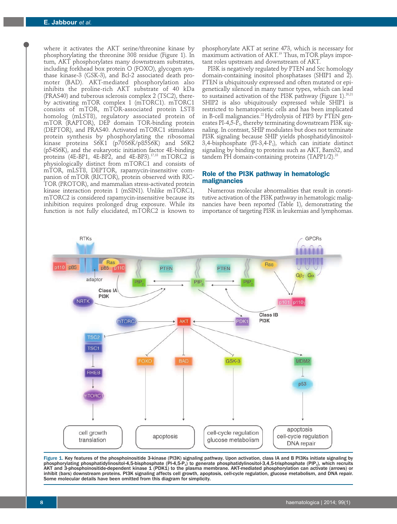where it activates the AKT serine/threonine kinase by phosphorylating the threonine 308 residue (Figure 1). In turn, AKT phosphorylates many downstream substrates, including forkhead box protein O (FOXO), glycogen synthase kinase-3 (GSK-3), and Bcl-2 associated death promoter (BAD). AKT-mediated phosphorylation also inhibits the proline-rich AKT substrate of 40 kDa (PRAS40) and tuberous sclerosis complex 2 (TSC2), thereby activating mTOR complex 1 (mTORC1). mTORC1 consists of mTOR, mTOR-associated protein LST8 homolog (mLST8), regulatory associated protein of mTOR (RAPTOR), DEP domain TOR-binding protein (DEPTOR), and PRAS40. Activated mTORC1 stimulates protein synthesis by phosphorylating the ribosomal kinase proteins S6K1 (p70S6K/p85S6K) and S6K2 (p54S6K), and the eukaryotic initiation factor 4E-binding proteins (4E-BP1, 4E-BP2, and 4E-BP3).<sup>17,18</sup> mTORC2 is physiologically distinct from mTORC1 and consists of mTOR, mLST8, DEPTOR, rapamycin-insensitive companion of mTOR (RICTOR), protein observed with RIC-TOR (PROTOR), and mammalian stress-activated protein kinase interaction protein 1 (mSIN1). Unlike mTORC1, mTORC2 is considered rapamycin-insensitive because its inhibition requires prolonged drug exposure. While its function is not fully elucidated, mTORC2 is known to

phosphorylate AKT at serine 473, which is necessary for maximum activation of AKT.<sup>19</sup> Thus, mTOR plays important roles upstream and downstream of AKT.

PI3K is negatively regulated by PTEN and Src homology domain-containing inositol phosphatases (SHIP1 and 2). PTEN is ubiquitously expressed and often mutated or epigenetically silenced in many tumor types, which can lead to sustained activation of the PI3K pathway (Figure 1).<sup>20,21</sup> SHIP2 is also ubiquitously expressed while SHIP1 is restricted to hematopoietic cells and has been implicated in B-cell malignancies.<sup>22</sup> Hydrolysis of PIP3 by PTEN generates PI-4,5-P<sub>2</sub>, thereby terminating downstream PI3K signaling. In contrast, SHIP modulates but does not terminate PI3K signaling because SHIP yields phosphatidylinositol-3,4-bisphosphate (PI-3,4- $P_2$ ), which can initiate distinct signaling by binding to proteins such as AKT, Bam32, and tandem PH domain-containing proteins  $(TAPP1/2)^{23}$ 

# **Role of the PI3K pathway in hematologic malignancies**

Numerous molecular abnormalities that result in constitutive activation of the PI3K pathway in hematologic malignancies have been reported (Table 1), demonstrating the importance of targeting PI3K in leukemias and lymphomas.



Figure 1. Key features of the phosphoinositide 3-kinase (PI3K) signaling pathway. Upon activation, class IA and B PI3Ks initiate signaling by phosphorylating phosphatidylinositol-4,5-bisphosphate (PI-4,5-P $_2$ ) to generate phosphatidylinositol-3,4,5-trisphosphate (PIP $_{\rm 3}$ ), which recruits AKT and 3-phosphoinositide-dependent kinase 1 (PDK1) to the plasma membrane. AKT-mediated phosphorylation can activate (arrows) or inhibit (bars) downstream proteins. PI3K signaling affects cell growth, apoptosis, cell-cycle regulation, glucose metabolism, and DNA repair. Some molecular details have been omitted from this diagram for simplicity.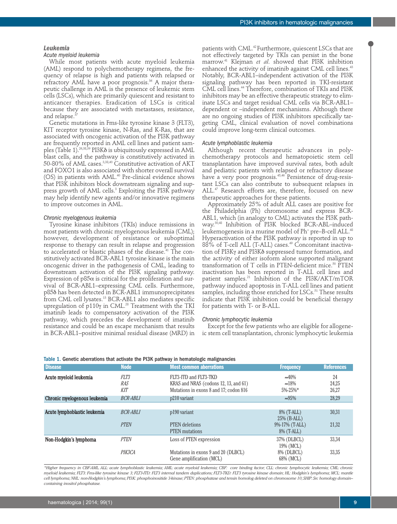## PI3K inhibitors in hematologic malignancies

#### *Leukemia*

## *Acute myeloid leukemia*

While most patients with acute myeloid leukemia (AML) respond to polychemotherapy regimens, the frequency of relapse is high and patients with relapsed or refractory AML have a poor prognosis.<sup>36</sup> A major therapeutic challenge in AML is the presence of leukemic stem cells (LSCs), which are primarily quiescent and resistant to anticancer therapies. Eradication of LSCs is critical because they are associated with metastases, resistance, and relapse.

Genetic mutations in Fms-like tyrosine kinase 3 (FLT3), KIT receptor tyrosine kinase, N-Ras, and K-Ras, that are associated with oncogenic activation of the PI3K pathway are frequently reported in AML cell lines and patient samples (Table 1).<sup>26,38,39</sup> PI3K $\delta$  is ubiquitously expressed in AML blast cells, and the pathway is constitutively activated in 50-80% of AML cases.3,38,40 Constitutive activation of AKT and FOXO1 is also associated with shorter overall survival (OS) in patients with AML.<sup>40</sup> Pre-clinical evidence shows that PI3K inhibitors block downstream signaling and suppress growth of AML cells.<sup>3</sup> Exploiting the PI3K pathway may help identify new agents and/or innovative regimens to improve outcomes in AML.

#### *Chronic myelogenous leukemia*

Tyrosine kinase inhibitors (TKIs) induce remissions in most patients with chronic myelogenous leukemia (CML); however, development of resistance or suboptimal response to therapy can result in relapse and progression to accelerated or blastic phases of the disease.<sup>41</sup> The constitutively activated BCR-ABL1 tyrosine kinase is the main oncogenic driver in the pathogenesis of CML, leading to downstream activation of the PI3K signaling pathway. Expression of  $p85\alpha$  is critical for the proliferation and survival of BCR-ABL1–expressing CML cells. Furthermore, p85d has been detected in BCR-ABL1 immunoprecipitates from CML cell lysates.<sup>13</sup> BCR-ABL1 also mediates specific upregulation of p110y in CML.<sup>28</sup> Treatment with the TKI imatinib leads to compensatory activation of the PI3K pathway, which precedes the development of imatinib resistance and could be an escape mechanism that results in BCR-ABL1–positive minimal residual disease (MRD) in

patients with CML.42 Furthermore, quiescent LSCs that are not effectively targeted by TKIs can persist in the bone marrow.41 Klejman *et al*. showed that PI3K inhibition enhanced the activity of imatinib against CML cell lines.<sup>43</sup> Notably, BCR-ABL1–independent activation of the PI3K signaling pathway has been reported in TKI-resistant CML cell lines.44 Therefore, combination of TKIs and PI3K inhibitors may be an effective therapeutic strategy to eliminate LSCs and target residual CML cells via BCR-ABL1– dependent or –independent mechanisms. Although there are no ongoing studies of PI3K inhibitors specifically targeting CML, clinical evaluation of novel combinations could improve long-term clinical outcomes.

#### *Acute lymphoblastic leukemia*

Although recent therapeutic advances in polychemotherapy protocols and hematopoietic stem cell transplantation have improved survival rates, both adult and pediatric patients with relapsed or refractory disease have a very poor prognosis.<sup>45,46</sup> Persistence of drug-resistant LSCs can also contribute to subsequent relapses in ALL.<sup>47</sup> Research efforts are, therefore, focused on new therapeutic approaches for these patients.

Approximately 25% of adult ALL cases are positive for the Philadelphia (Ph) chromosome and express BCR-ABL1, which (in analogy to CML) activates the PI3K pathway.30,48 Inhibition of PI3K blocked BCR-ABL–induced leukemogenesis in a murine model of Ph<sup>+</sup> pre–B-cell ALL.<sup>48</sup> Hyperactivation of the PI3K pathway is reported in up to 88% of T-cell ALL (T-ALL) cases.<sup>49</sup> Concomitant inactivation of PI3Ky and PI3K $\delta$  suppressed tumor formation, and the activity of either isoform alone supported malignant transformation of  $T$  cells in PTEN-deficient mice.<sup>50</sup> PTEN inactivation has been reported in T-ALL cell lines and patient samples.<sup>21</sup> Inhibition of the PI3K/AKT/mTOR pathway induced apoptosis in T-ALL cell lines and patient samples, including those enriched for LSCs.<sup>51</sup> These results indicate that PI3K inhibition could be beneficial therapy for patients with T- or B-ALL.

#### *Chronic lymphocytic leukemia*

Except for the few patients who are eligible for allogeneic stem cell transplantation, chronic lymphocytic leukemia

| <b>Disease</b>               | <b>Node</b>               | <b>Most common aberrations</b>                                                                           | <b>Frequency</b>                                   | <b>References</b>    |
|------------------------------|---------------------------|----------------------------------------------------------------------------------------------------------|----------------------------------------------------|----------------------|
| Acute myeloid leukemia       | FLT3<br>RAS<br><b>KIT</b> | FLT3-ITD and FLT3-TKD<br>KRAS and NRAS (codons 12, 13, and 61)<br>Mutations in exons 8 and 17; codon 816 | $\approx 40\%$<br>$\approx 18\%$<br>$5\% - 25\%$ * | 24<br>24,25<br>26,27 |
| Chronic myelogenous leukemia | <b>BCR-ABL1</b>           | p210 variant                                                                                             | $\approx 95\%$                                     | 28,29                |
|                              |                           |                                                                                                          |                                                    |                      |
| Acute lymphoblastic leukemia | BCR-ABL1                  | p190 variant                                                                                             | 8% (T-ALL)                                         | 30,31                |
|                              |                           |                                                                                                          | $25\%$ (B-ALL)                                     |                      |
|                              | <b>PTEN</b>               | <b>PTEN</b> deletions                                                                                    | $9\% - 17\%$ (T-ALL)                               | 21,32                |
|                              |                           | <b>PTEN</b> mutations                                                                                    | 8% (T-ALL)                                         |                      |
| Non-Hodgkin's lymphoma       | <b>PTEN</b>               | Loss of PTEN expression                                                                                  | 37% (DLBCL)<br>19% (MCL)                           | 33,34                |
|                              | PIK3CA                    | Mutations in exons 9 and 20 (DLBCL)<br>Gene amplification (MCL)                                          | 8% (DLBCL)<br>68% (MCL)                            | 33,35                |

#### Table 1. Genetic aberrations that activate the PI3K pathway in hematologic malignancies

*\*Higher frequency in CBF-AML. ALL: acute lymphoblastic leukemia; AML: acute myeloid leukemia; CBF: core binding factor; CLL: chronic lymphocytic leukemia; CML: chronic myeloid leukemia; FLT3: Fms-like tyrosine kinase 3; FLT3-ITD: FLT3 internal tandem duplications; FLT3-TKD: FLT3 tyrosine kinase domain; HL: Hodgkin's lymphoma; MCL: mantle cell lymphoma; NHL: non-Hodgkin's lymphoma; PI3K: phosphoinositide 3-kinase; PTEN: phosphatase and tensin homolog deleted on chromosome 10; SHIP: Src homology domain– containing inositol phosphatase.*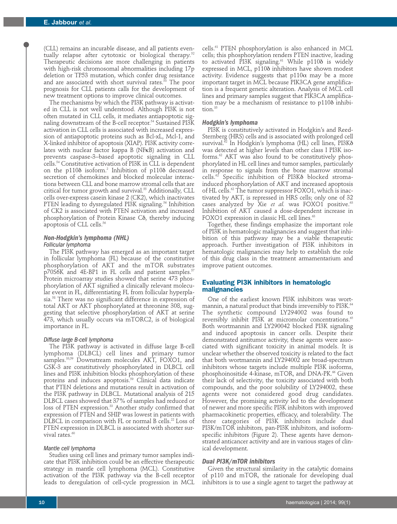(CLL) remains an incurable disease, and all patients eventually relapse after cytotoxic or biological therapy.<sup>52</sup> Therapeutic decisions are more challenging in patients with high-risk chromosomal abnormalities including 17p deletion or TP53 mutation, which confer drug resistance and are associated with short survival rates. $58$  The poor prognosis for CLL patients calls for the development of new treatment options to improve clinical outcomes.

The mechanisms by which the PI3K pathway is activated in CLL is not well understood. Although PI3K is not often mutated in CLL cells, it mediates antiapoptotic signaling downstream of the B-cell receptor.<sup>54</sup> Sustained PI3K activation in CLL cells is associated with increased expression of antiapoptotic proteins such as Bcl-xL, Mcl-1, and X-linked inhibitor of apoptosis (XIAP). PI3K activity correlates with nuclear factor kappa B (NFκB) activation and prevents caspase-3–based apoptotic signaling in CLL cells.54 Constitutive activation of PI3K in CLL is dependent on the p1108 isoform.<sup>2</sup> Inhibition of p1108 decreased secretion of chemokines and blocked molecular interactions between CLL and bone marrow stromal cells that are critical for tumor growth and survival.<sup>55</sup> Additionally, CLL cells over-express casein kinase 2 (CK2), which inactivates PTEN leading to dysregulated PI3K signaling.<sup>56</sup> Inhibition of CK2 is associated with PTEN activation and increased phosphorylation of Protein Kinase Cô, thereby inducing apoptosis of CLL cells.56

## *Non-Hodgkin's lymphoma (NHL) Follicular lymphoma*

The PI3K pathway has emerged as an important target in follicular lymphoma (FL) because of the constitutive phosphorylation of AKT and the mTOR substrates p70S6K and 4E-BP1 in FL cells and patient samples.<sup>57</sup> Protein microarray studies showed that serine 473 phosphorylation of AKT signified a clinically relevant molecular event in FL, differentiating FL from follicular hyperplasia.58 There was no significant difference in expression of total AKT or AKT phosphorylated at threonine 308, suggesting that selective phosphorylation of AKT at serine 473, which usually occurs via mTORC2, is of biological importance in FL.

## *Diffuse large B-cell lymphoma*

The PI3K pathway is activated in diffuse large B-cell lymphoma (DLBCL) cell lines and primary tumor samples.<sup>33,59</sup> Downstream molecules AKT, FOXO1, and GSK-3 are constitutively phosphorylated in DLBCL cell lines and PI3K inhibition blocks phosphorylation of these proteins and induces apoptosis.<sup>59</sup> Clinical data indicate that PTEN deletions and mutations result in activation of the PI3K pathway in DLBCL. Mutational analysis of 215 DLBCL cases showed that 37% of samples had reduced or loss of PTEN expression.<sup>33</sup> Another study confirmed that expression of PTEN and SHIP was lowest in patients with DLBCL in comparison with FL or normal B cells.<sup>22</sup> Loss of PTEN expression in DLBCL is associated with shorter survival rates.<sup>60</sup>

### *Mantle cell lymphoma*

Studies using cell lines and primary tumor samples indicate that PI3K inhibition could be an effective therapeutic strategy in mantle cell lymphoma (MCL). Constitutive activation of the PI3K pathway via the B-cell receptor leads to deregulation of cell-cycle progression in MCL

cells.61 PTEN phosphorylation is also enhanced in MCL cells; this phosphorylation renders PTEN inactive, leading to activated PI3K signaling.<sup>61</sup> While p1108 is widely expressed in MCL, p110d inhibitors have shown modest activity. Evidence suggests that  $p110\alpha$  may be a more important target in MCL because PIK3CA gene amplification is a frequent genetic alteration. Analysis of MCL cell lines and primary samples suggest that PIK3CA amplification may be a mechanism of resistance to  $p110\delta$  inhibition.35

## *Hodgkin's lymphoma*

PI3K is constitutively activated in Hodgkin's and Reed-Sternberg (HRS) cells and is associated with prolonged cell survival.62 In Hodgkin's lymphoma (HL) cell lines, PI3Kd was detected at higher levels than other class I PI3K isoforms.62 AKT was also found to be constitutively phosphorylated in HL cell lines and tumor samples, particularly in response to signals from the bone marrow stromal cells.<sup>62</sup> Specific inhibition of PI3K<sub>o</sub> blocked stromainduced phosphorylation of AKT and increased apoptosis of HL cells.62 The tumor suppressor FOXO1, which is inactivated by AKT, is repressed in HRS cells; only one of 32 cases analyzed by Xie et al. was FOXO1 positive.<sup>63</sup> Inhibition of AKT caused a dose-dependent increase in FOXO1 expression in classic HL cell lines.<sup>63</sup>

Together, these findings emphasize the important role of PI3K in hematologic malignancies and suggest that inhibition of this pathway may be a viable therapeutic approach. Further investigation of PI3K inhibitors in hematologic malignancies may help to establish the role of this drug class in the treatment armamentarium and improve patient outcomes.

## **Evaluating PI3K inhibitors in hematologic malignancies**

One of the earliest known PI3K inhibitors was wortmannin, a natural product that binds irreversibly to PI3K.<sup>64</sup> The synthetic compound LY294002 was found to reversibly inhibit PI3K at micromolar concentrations.<sup>65</sup> Both wortmannin and LY290042 blocked PI3K signaling and induced apoptosis in cancer cells. Despite their demonstrated antitumor activity, these agents were associated with significant toxicity in animal models. It is unclear whether the observed toxicity is related to the fact that both wortmannin and LY294002 are broad-spectrum inhibitors whose targets include multiple PI3K isoforms, phosphoinositide 4-kinase, mTOR, and DNA-PK.<sup>66</sup> Given their lack of selectivity, the toxicity associated with both compounds, and the poor solubility of LY294002, these agents were not considered good drug candidates. However, the promising activity led to the development of newer and more specific PI3K inhibitors with improved pharmacokinetic properties, efficacy, and tolerability. The three categories of PI3K inhibitors include dual PI3K/mTOR inhibitors, pan-PI3K inhibitors, and isoformspecific inhibitors (Figure 2). These agents have demonstrated anticancer activity and are in various stages of clinical development.

# *Dual PI3K/mTOR inhibitors*

Given the structural similarity in the catalytic domains of p110 and mTOR, the rationale for developing dual inhibitors is to use a single agent to target the pathway at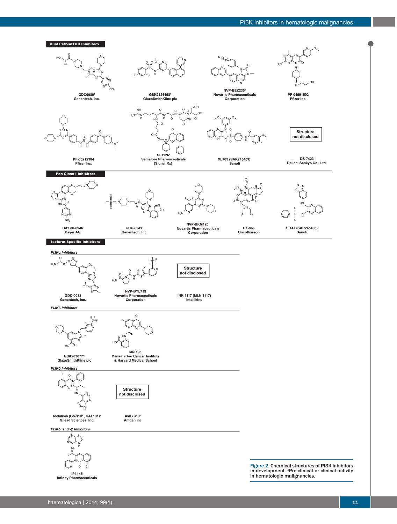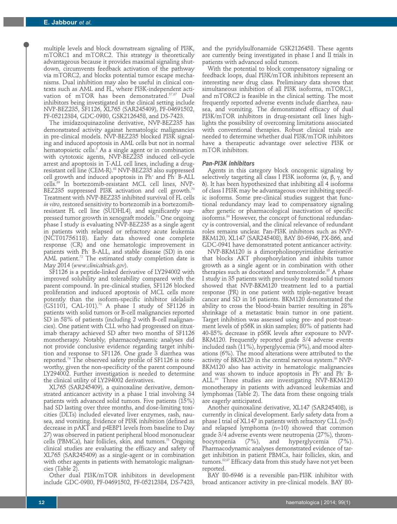multiple levels and block downstream signaling of PI3K, mTORC1 and mTORC2. This strategy is theoretically advantageous because it provides maximal signaling shutdown, circumvents feedback activation of the pathway via mTORC2, and blocks potential tumor escape mechanisms. Dual inhibition may also be useful in clinical contexts such as AML and FL, where PI3K-independent activation of mTOR has been demonstrated.<sup>57,67</sup> Dual inhibitors being investigated in the clinical setting include NVP-BEZ235, SF1126, XL765 (SAR245409), PF-04691502, PF-05212384, GDC-0980, GSK2126458, and DS-7423.

The imidazoquinazoline derivative, NVP-BEZ235 has demonstrated activity against hematologic malignancies in pre-clinical models. NVP-BEZ235 blocked PI3K signaling and induced apoptosis in AML cells but not in normal hematopoietic cells.<sup>3</sup> As a single agent or in combination with cytotoxic agents, NVP-BEZ235 induced cell-cycle arrest and apoptosis in T-ALL cell lines, including a drugresistant cell line (CEM-R).<sup>68</sup> NVP-BEZ235 also suppressed cell growth and induced apoptosis in  $Ph<sup>+</sup>$  and  $Ph<sup>-</sup>$  B-ALL cells.69 In bortezomib-resistant MCL cell lines, NVP-BEZ235 suppressed PI3K activation and cell growth.<sup>70</sup> Treatment with NVP-BEZ235 inhibited survival of FL cells *in vitro*, restored sensitivity to bortezomib in a bortezomibresistant FL cell line (SUDHL4), and significantly suppressed tumor growth in xenograft models.<sup>71</sup> One ongoing phase I study is evaluating NVP-BEZ235 as a single agent in patients with relapsed or refractory acute leukemia (NCT01756118). Early data showed one complete response (CR) and one hematologic improvement in patients with Ph– B-ALL, and stable disease (SD) in one AML patient. $72$  The estimated study completion date is May 2014 (*www.clinicaltrials.gov*).

SF1126 is a peptide-linked derivative of LY294002 with improved solubility and tolerability compared with the parent compound. In pre-clinical studies, SF1126 blocked proliferation and induced apoptosis of MCL cells more potently than the isoform-specific inhibitor idelalisib (GS1101, CAL-101).73 A phase I study of SF1126 in patients with solid tumors or B-cell malignancies reported SD in 58% of patients (including 2 with B-cell malignancies). One patient with CLL who had progressed on rituximab therapy achieved SD after two months of SF1126 monotherapy. Notably, pharmacodynamic analyses did not provide conclusive evidence regarding target inhibition and response to SF1126. One grade 3 diarrhea was reported.74 The observed safety profile of SF1126 is noteworthy, given the non-specificity of the parent compound LY294002. Further investigation is needed to determine the clinical utility of LY294002 derivatives.

XL765 (SAR245409), a quinoxaline derivative, demonstrated anticancer activity in a phase I trial involving 34 patients with advanced solid tumors. Five patients (15%) had SD lasting over three months, and dose-limiting toxicities (DLTs) included elevated liver enzymes, rash, nausea, and vomiting. Evidence of PI3K inhibition (defined as decrease in pAKT and p4EBP1 levels from baseline to Day 27) was observed in patient peripheral blood mononuclear cells (PBMCs), hair follicles, skin, and tumors.<sup>75</sup> Ongoing clinical studies are evaluating the efficacy and safety of XL765 (SAR245409) as a single-agent or in combination with other agents in patients with hematologic malignancies (Table 2).

Other dual PI3K/mTOR inhibitors in development include GDC-0980, PF-04691502, PF-05212384, DS-7423,

and the pyridylsulfonamide GSK2126458. These agents are currently being investigated in phase I and II trials in patients with advanced solid tumors.

With the potential to block compensatory signaling or feedback loops, dual PI3K/mTOR inhibitors represent an interesting new drug class. Preliminary data shows that simultaneous inhibition of all PI3K isoforms, mTORC1, and mTORC2 is feasible in the clinical setting. The most frequently reported adverse events include diarrhea, nausea, and vomiting. The demonstrated efficacy of dual PI3K/mTOR inhibitors in drug-resistant cell lines highlights the possibility of overcoming limitations associated with conventional therapies. Robust clinical trials are needed to determine whether dual PI3K/mTOR inhibitors have a therapeutic advantage over selective PI3K or mTOR inhibitors.

### *Pan-PI3K inhibitors*

Agents in this category block oncogenic signaling by selectively targeting all class I PI3K isoforms  $(\alpha, \beta, \gamma, \text{and})$ d). It has been hypothesized that inhibiting all 4 isoforms of class I PI3K may be advantageous over inhibiting specific isoforms. Some pre-clinical studies suggest that functional redundancy may lead to compensatory signaling after genetic or pharmacological inactivation of specific isoforms.84 However, the concept of functional redundancy is controversial, and the clinical relevance of redundant roles remains unclear. Pan-PI3K inhibitors such as NVP-BKM120, XL147 (SAR245408), BAY 80-6946, PX-866, and GDC-0941 have demonstrated potent anticancer activity.

NVP-BKM120 is a dimorpholinopyrimidine derivative that blocks AKT phosphorylation and inhibits tumor growth as a single agent or in combination with other therapies such as docetaxel and temozolomide.<sup>85</sup> A phase I study in 35 patients with previously treated solid tumors showed that NVP-BKM120 treatment led to a partial response (PR) in one patient with triple-negative breast cancer and SD in 16 patients. BKM120 demonstrated the ability to cross the blood-brain barrier resulting in 28% shrinkage of a metastatic brain tumor in one patient. Target inhibition was assessed using pre- and post-treatment levels of pS6K in skin samples; 80% of patients had 40-85% decrease in pS6K levels after exposure to NVP-BKM120. Frequently reported grade 3/4 adverse events included rash (11%), hyperglycemia (9%), and mood alterations (6%). The mood alterations were attributed to the activity of BKM120 in the central nervous system.<sup>86</sup> NVP-BKM120 also has activity in hematologic malignancies and was shown to induce apoptosis in Ph<sup>+</sup> and Ph<sup>−</sup> B-ALL.69 Three studies are investigating NVP-BKM120 monotherapy in patients with advanced leukemias and lymphomas (Table 2). The data from these ongoing trials are eagerly anticipated.

Another quinoxaline derivative, XL147 (SAR245408), is currently in clinical development. Early safety data from a phase I trial of XL147 in patients with refractory CLL (n=5) and relapsed lymphoma (n=10) showed that common grade  $3/4$  adverse events were neutropenia  $(27%)$ , throm-<br>bocytopenia  $(7%)$ , and hyperglycemia  $(7%)$ . bocytopenia (7%), and hyperglycemia (7%). Pharmacodynamic analyses demonstrated evidence of target inhibition in patient PBMCs, hair follicles, skin, and tumors.82,87 Efficacy data from this study have not yet been reported.

BAY 80-6946 is a reversible pan-PI3K inhibitor with broad anticancer activity in pre-clinical models. BAY 80-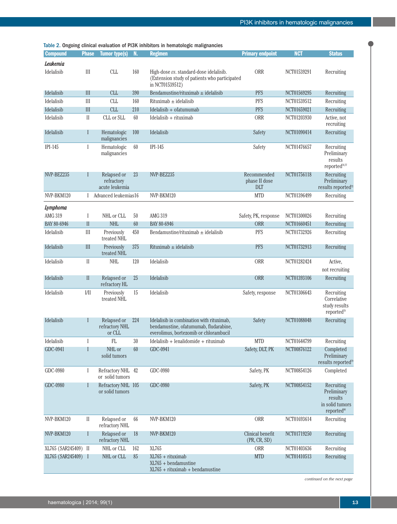| Table 2. Ongoing clinical evaluation of PI3K inhibitors in hematologic malignancies |  |
|-------------------------------------------------------------------------------------|--|
|-------------------------------------------------------------------------------------|--|

| <b>Compound</b>        | <b>Phase</b>                | <b>Tumor type(s)</b>                        | N.       | rable 2. Origonig chincal evaluation of FISK immotors in hematologic manghancies<br><b>Regimen</b>                            | <b>Primary endpoint</b>                    | <b>NCT</b>                 | <b>Status</b>                                                                     |
|------------------------|-----------------------------|---------------------------------------------|----------|-------------------------------------------------------------------------------------------------------------------------------|--------------------------------------------|----------------------------|-----------------------------------------------------------------------------------|
|                        |                             |                                             |          |                                                                                                                               |                                            |                            |                                                                                   |
| Leukemia<br>Idelalisib | III                         | <b>CLL</b>                                  | 160      | High-dose vs. standard-dose idelalisib.<br>(Extension study of patients who participated<br>in NCT01539512)                   | ORR                                        | NCT01539291                | Recruiting                                                                        |
| Idelalisib             | III                         | <b>CLL</b>                                  | 390      | Bendamustine/rituximab $\pm$ idelalisib                                                                                       | <b>PFS</b>                                 | NCT01569295                | Recruiting                                                                        |
| Idelalisib             | III                         | <b>CLL</b>                                  | 160      | $Rituximab \pm idealisib$                                                                                                     | <b>PFS</b>                                 | NCT01539512                | Recruiting                                                                        |
| Idelalisib             | III                         | <b>CLL</b>                                  | 210      | $I$ delalisib + ofatumumab                                                                                                    | <b>PFS</b>                                 | NCT01659021                | Recruiting                                                                        |
| Idelalisib             | $\mathbf{I}$                | CLL or SLL                                  | 60       | $Idelalisib + rituximab$                                                                                                      | <b>ORR</b>                                 | NCT01203930                | Active, not<br>recruiting                                                         |
| Idelalisib             | I                           | Hematologic<br>malignancies                 | 100      | Idelalisib                                                                                                                    | Safety                                     | NCT01090414                | Recruiting                                                                        |
| $IPI-145$              | I                           | Hematologic<br>malignancies                 | 60       | $IPI-145$                                                                                                                     | Safety                                     | NCT01476657                | Recruiting<br>Preliminary<br>results<br>reported <sup>76,77</sup>                 |
| NVP-BEZ235             | ı                           | Relapsed or<br>refractory<br>acute leukemia | 23       | NVP-BEZ235                                                                                                                    | Recommended<br>phase II dose<br><b>DLT</b> | NCT01756118                | Recruiting<br>Preliminary<br>results reported <sup>72</sup>                       |
| NVP-BKM120             |                             | I Advanced leukemias16                      |          | NVP-BKM120                                                                                                                    | <b>MTD</b>                                 | NCT01396499                | Recruiting                                                                        |
| Lymphoma               |                             |                                             |          |                                                                                                                               |                                            |                            |                                                                                   |
| AMG 319<br>BAY 80-6946 | $\mathbf I$<br>$\mathbf{I}$ | NHL or CLL<br><b>NHL</b>                    | 50<br>60 | AMG 319<br>BAY 80-6946                                                                                                        | Safety, PK, response<br><b>ORR</b>         | NCT01300026<br>NCT01660451 | Recruiting<br>Recruiting                                                          |
| Idelalisib             | III                         | Previously                                  | 450      | Bendamustine/rituximab $\pm$ idelalisib                                                                                       | <b>PFS</b>                                 | NCT01732926                | Recruiting                                                                        |
|                        |                             | treated NHL                                 |          |                                                                                                                               |                                            |                            |                                                                                   |
| Idelalisib             | III                         | Previously<br>treated NHL                   | 375      | $Rituximab \pm idealisib$                                                                                                     | <b>PFS</b>                                 | NCT01732913                | Recruiting                                                                        |
| Idelalisib             | $\mathbf{I}$                | <b>NHL</b>                                  | 120      | Idelalisib                                                                                                                    | <b>ORR</b>                                 | NCT01282424                | Active,<br>not recruiting                                                         |
| Idelalisib             | $\mathbf{I}$                | Relapsed or<br>refractory HL                | 25       | Idelalisib                                                                                                                    | <b>ORR</b>                                 | NCT01393106                | Recruiting                                                                        |
| Idelalisib             | 1/11                        | Previously<br>treated NHL                   | 15       | Idelalisib                                                                                                                    | Safety, response                           | NCT01306643                | Recruiting<br>Correlative<br>study results<br>reported <sup>78</sup>              |
| Idelalisib             | ı                           | Relapsed or<br>refractory NHL<br>or CLL     | 224      | Idelalisib in combination with rituximab,<br>bendamustine, ofatumumab, fludarabine,<br>everolimus, bortezomib or chlorambucil | Safety                                     | NCT01088048                | Recruiting                                                                        |
| Idelalisib             | I                           | FL                                          | 30       | $Idelalisib + lenalidomide + rituximab$                                                                                       | <b>MTD</b>                                 | NCT01644799                | Recruiting                                                                        |
| GDC-0941               |                             | NHL or<br>solid tumors                      | 60       | GDC-0941                                                                                                                      | Safety, DLT, PK                            | NCT00876122                | Completed<br>Preliminary<br>results reported <sup>79</sup>                        |
| GDC-0980               | -1                          | Refractory NHL 42<br>or solid tumors        |          | GDC-0980                                                                                                                      | Safety, PK                                 | NCT00854126                | Completed                                                                         |
| GDC-0980               | $\mathbf{I}$                | Refractory NHL 105<br>or solid tumors       |          | GDC-0980                                                                                                                      | Safety, PK                                 | NCT00854152                | Recruiting<br>Preliminary<br>results<br>in solid tumors<br>reported <sup>80</sup> |
| NVP-BKM120             | $\mathbf{I}$                | Relapsed or<br>refractory NHL               | 66       | NVP-BKM120                                                                                                                    | <b>ORR</b>                                 | NCT01693614                | Recruiting                                                                        |
| NVP-BKM120             | I                           | Relapsed or<br>refractory NHL               | 18       | NVP-BKM120                                                                                                                    | Clinical benefit<br>(PR, CR, SD)           | NCT01719250                | Recruiting                                                                        |
| XL765 (SAR245409) II   |                             | NHL or CLL                                  | 162      | XL765                                                                                                                         | ORR                                        | NCT01403636                | Recruiting                                                                        |
| XL765 (SAR245409) I    |                             | NHL or CLL                                  | 85       | XL765 + rituximab                                                                                                             | <b>MTD</b>                                 | NCT01410513                | Recruiting                                                                        |
|                        |                             |                                             |          | $XL765 + bendamustine$<br>$XL765 + rituximab + bendamustine$                                                                  |                                            |                            |                                                                                   |

*continued on the next page*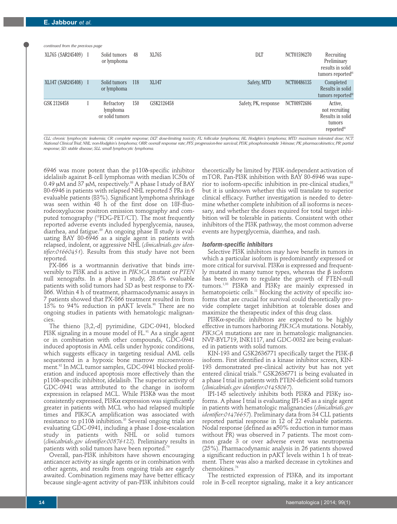*continued from the previous page*

| continued from the previous page |                                           |     |            |                      |             |                                                                                   |
|----------------------------------|-------------------------------------------|-----|------------|----------------------|-------------|-----------------------------------------------------------------------------------|
| XL765 (SAR245409) I              | Solid tumors<br>or lymphoma               | 48  | XL765      | DLT                  | NCT01596270 | Recruiting<br>Preliminary<br>results in solid<br>tumors reported <sup>81</sup>    |
| XL147 (SAR245408) I              | Solid tumors<br>or lymphoma               | 118 | XL147      | Safety, MTD          | NCT00486135 | Completed<br>Results in solid                                                     |
|                                  |                                           |     |            |                      |             | tumors reported <sup>82</sup>                                                     |
| GSK 2126458                      | Refractory<br>lymphoma<br>or solid tumors | 150 | GSK2126458 | Safety, PK, response | NCT00972686 | Active,<br>not recruiting<br>Results in solid<br>tumors<br>reported <sup>83</sup> |

*CLL: chronic lymphocytic leukemia; CR: complete response; DLT: dose-limiting toxicity; FL: follicular lymphoma; HL: Hodgkin's lymphoma; MTD: maximum tolerated dose; NCT: National Clinical Trial; NHL: non-Hodgkin's lymphoma; ORR: overall response rate; PFS: progression-free survival; PI3K: phosphoinositide 3-kinase; PK: pharmacokinetics; PR: partial response; SD: stable disease; SLL: small lymphocytic lymphoma.*

 $6946$  was more potent than the  $p110\delta$ -specific inhibitor idelalisib against B-cell lymphomas with median IC50s of 0.49  $\mu$ M and 37  $\mu$ M, respectively.<sup>88</sup> A phase I study of BAY 80-6946 in patients with relapsed NHL reported 5 PRs in 6 evaluable patients (83%). Significant lymphoma shrinkage was seen within 48 h of the first dose on 18F-fluorodeoxyglucose positron emission tomography and computed tomography (18FDG-PET/CT). The most frequently reported adverse events included hyperglycemia, nausea, diarrhea, and fatigue.<sup>89</sup> An ongoing phase II study is evaluating BAY 80-6946 as a single agent in patients with relapsed, indolent, or aggressive NHL (*clinicaltrials.gov identifier:01660451*). Results from this study have not been reported.

PX-866 is a wortmannin derivative that binds irreversibly to PI3K and is active in *PIK3CA* mutant or *PTEN* null xenografts. In a phase I study, 28.6% evaluable patients with solid tumors had SD as best response to PX-866. Within 4 h of treatment, pharmacodynamic assays in 7 patients showed that PX-866 treatment resulted in from 13% to 94% reduction in pAKT levels.<sup>90</sup> There are no ongoing studies in patients with hematologic malignancies.

The thieno [3,2,-d] pyrimidine, GDC-0941, blocked PI3K signaling in a mouse model of FL.<sup>91</sup> As a single agent or in combination with other compounds, GDC-0941 induced apoptosis in AML cells under hypoxic conditions, which suggests efficacy in targeting residual AML cells sequestered in a hypoxic bone marrow microenvironment.<sup>92</sup> In MCL tumor samples, GDC-0941 blocked proliferation and induced apoptosis more effectively than the p110d-specific inhibitor, idelalisib. The superior activity of GDC-0941 was attributed to the change in isoform expression in relapsed MCL. While PI3K $\delta$  was the most consistently expressed,  $PI3K\alpha$  expression was significantly greater in patients with MCL who had relapsed multiple times and PIK3CA amplification was associated with resistance to p1108 inhibition.<sup>35</sup> Several ongoing trials are evaluating GDC-0941, including a phase I dose-escalation study in patients with NHL or solid tumors (*clinicaltrials.gov identifier:00876122*). Preliminary results in patients with solid tumors have been reported.<sup>79</sup>

Overall, pan-PI3K inhibitors have shown encouraging anticancer activity as single agents or in combination with other agents, and results from ongoing trials are eagerly awaited. Combination regimens may have better efficacy because single-agent activity of pan-PI3K inhibitors could

theoretically be limited by PI3K-independent activation of mTOR. Pan-PI3K inhibition with BAY 80-6946 was superior to isoform-specific inhibition in pre-clinical studies,<sup>88</sup> but it is unknown whether this will translate to superior clinical efficacy. Further investigation is needed to determine whether complete inhibition of all isoforms is necessary, and whether the doses required for total target inhibition will be tolerable in patients. Consistent with other inhibitors of the PI3K pathway, the most common adverse events are hyperglycemia, diarrhea, and rash.

#### *Isoform-specific inhibitors*

Selective PI3K inhibitors may have benefit in tumors in which a particular isoform is predominantly expressed or more critical for survival. PI3K $\alpha$  is expressed and frequently mutated in many tumor types, whereas the β isoform has been shown to regulate the growth of PTEN-null tumors.1,93 PI3Kd and PI3Kg are mainly expressed in hematopoietic cells.<sup>11</sup> Blocking the activity of specific isoforms that are crucial for survival could theoretically provide complete target inhibition at tolerable doses and maximize the therapeutic index of this drug class.

PI3K $\alpha$ -specific inhibitors are expected to be highly effective in tumors harboring *PIK3CA* mutations. Notably, *PIK3CA* mutations are rare in hematologic malignancies. NVP-BYL719, INK1117, and GDC-0032 are being evaluated in patients with solid tumors.

KIN-193 and GSK2636771 specifically target the PI3K-β isoform. First identified in a kinase inhibitor screen, KIN-193 demonstrated pre-clinical activity but has not yet entered clinical trials.<sup>93</sup> GSK2636771 is being evaluated in a phase I trial in patients with PTEN-deficient solid tumors (*clinicaltrials.gov identifier:01458067*).

IPI-145 selectively inhibits both PI3K $\delta$  and PI3K $\gamma$  isoforms. A phase I trial is evaluating IPI-145 as a single agent in patients with hematologic malignancies (*clinicaltrials.gov identifier:01476657*). Preliminary data from 34 CLL patients reported partial response in 12 of 22 evaluable patients. Nodal response (defined as ≥50% reduction in tumor mass without PR) was observed in 7 patients. The most common grade 3 or over adverse event was neutropenia (25%). Pharmacodynamic analysis in 26 patients showed a significant reduction in pAKT levels within 1 h of treatment. There was also a marked decrease in cytokines and chemokines.76

The restricted expression of PI3K<sub>o</sub>, and its important role in B-cell receptor signaling, make it a key anticancer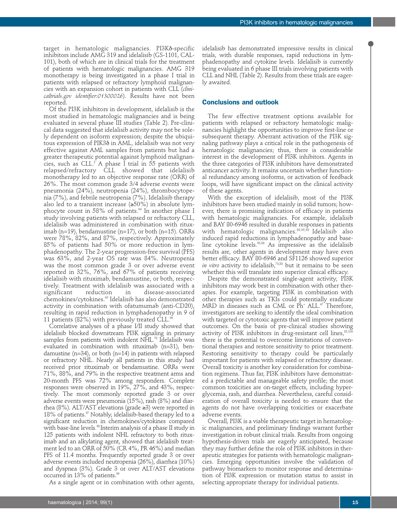target in hematologic malignancies. PI3Kd-specific inhibitors include AMG 319 and idelalisib (GS-1101, CAL-101), both of which are in clinical trials for the treatment of patients with hematologic malignancies. AMG 319 monotherapy is being investigated in a phase I trial in patients with relapsed or refractory lymphoid malignancies with an expansion cohort in patients with CLL (*clinicaltrials.gov identifier:01300026*). Results have not been reported.

Of the PI3K inhibitors in development, idelalisib is the most studied in hematologic malignancies and is being evaluated in several phase III studies (Table 2). Pre-clinical data suggested that idelalisib activity may not be solely dependent on isoform expression; despite the ubiquitous expression of PIK3d in AML, idelalisib was not very effective against AML samples from patients but had a greater therapeutic potential against lymphoid malignancies, such as  $CLL<sup>2</sup>$  A phase I trial in 55 patients with relapsed/refractory CLL showed that idelalisib monotherapy led to an objective response rate (ORR) of 26%. The most common grade 3/4 adverse events were pneumonia (24%), neutropenia (24%), thrombocytopenia (7%), and febrile neutropenia (7%). Idelalisib therapy also led to a transient increase  $(\geq 50\%)$  in absolute lymphocyte count in 58% of patients.<sup>94</sup> In another phase I study involving patients with relapsed or refractory CLL, idelalisib was administered in combination with rituximab (n=19), bendamustine (n=17), or both (n=15). ORRs were 78%, 82%, and 87%, respectively. Approximately 85% of patients had 50% or more reduction in lymphadenopathy. The 2-year progression-free survival (PFS) was 63%, and 2-year OS rate was 84%. Neutropenia was the most common grade 3 or over adverse event reported in 32%, 76%, and 67% of patients receiving idelalisib with rituximab, bendamustine, or both, respectively. Treatment with idelalisib was associated with a significant reduction in disease-associated chemokines/cytokines.95 Idelalisib has also demonstrated activity in combination with ofatumumab (anti-CD20), resulting in rapid reduction in lymphadenopathy in 9 of 11 patients (82%) with previously treated CLL.<sup>96</sup>

Correlative analyses of a phase I/II study showed that idelalisib blocked downstream PI3K signaling in primary samples from patients with indolent NHL.<sup>78</sup> Idelalisib was evaluated in combination with rituximab (n=31), bendamustine  $(n=34)$ , or both  $(n=14)$  in patients with relapsed or refractory NHL. Nearly all patients in this study had received prior rituximab or bendamustine. ORRs were 71%, 88%, and 79% in the respective treatment arms and 20-month PFS was 72% among responders. Complete responses were observed in 19%, 27%, and 43%, respectively. The most commonly reported grade 3 or over adverse events were pneumonia (15%), rash (8%) and diarrhea (8%). ALT/AST elevations (grade ≥3) were reported in 18% of patients.<sup>97</sup> Notably, idelalisib-based therapy led to a significant reduction in chemokines/cytokines compared with base-line levels.<sup>98</sup> Interim analysis of a phase II study in 125 patients with indolent NHL refractory to both rituximab and an alkylating agent, showed that idelalisib treatment led to an ORR of 50% (CR 4%, PR 46%) and median PFS of 11.4 months. Frequently reported grade 3 or over adverse events included neutropenia (26%), diarrhea (10%) and dyspnea (3%). Grade 3 or over ALT/AST elevations occurred in 13% of patients.<sup>99</sup>

As a single agent or in combination with other agents,

idelalisib has demonstrated impressive results in clinical trials, with durable responses, rapid reductions in lymphadenopathy and cytokine levels. Idelalisib is currently being evaluated in 6 phase III trials involving patients with CLL and NHL (Table 2). Results from these trials are eagerly awaited.

# **Conclusions and outlook**

The few effective treatment options available for patients with relapsed or refractory hematologic malignancies highlight the opportunities to improve first-line or subsequent therapy. Aberrant activation of the PI3K signaling pathway plays a critical role in the pathogenesis of hematologic malignancies; thus, there is considerable interest in the development of PI3K inhibitors. Agents in the three categories of PI3K inhibitors have demonstrated anticancer activity. It remains uncertain whether functional redundancy among isoforms, or activation of feedback loops, will have significant impact on the clinical activity of these agents.

With the exception of idelalisib, most of the PI3K inhibitors have been studied mainly in solid tumors; however, there is promising indication of efficacy in patients with hematologic malignancies. For example, idelalisib and BAY 80-6946 resulted in durable responses in patients with hematologic malignancies.<sup>89,95,98</sup> Idelalisib also induced rapid reductions in lymphadenopathy and baseline cytokine levels.<sup>95,98</sup> As impressive as the idelalisib results are, other agents in development may have even better efficacy. BAY 80-6946 and SF1126 showed superior *in vitro* activity to idelalisib,<sup>73,88</sup> but it remains to be seen whether this will translate into superior clinical efficacy.

Despite the demonstrated single-agent activity, PI3K inhibitors may work best in combination with other therapies. For example, targeting PI3K in combination with other therapies such as TKIs could potentially eradicate MRD in diseases such as CML or  $\mathbb{P}\mathrm{h}^*$  ALL.<sup>47</sup> Therefore, investigators are seeking to identify the ideal combination with targeted or cytotoxic agents that will improve patient outcomes. On the basis of pre-clinical studies showing activity of PI3K inhibitors in drug-resistant cell lines, $85,100$ there is the potential to overcome limitations of conventional therapies and restore sensitivity to prior treatment. Restoring sensitivity to therapy could be particularly important for patients with relapsed or refractory disease. Overall toxicity is another key consideration for combination regimens. Thus far, PI3K inhibitors have demonstrated a predictable and manageable safety profile; the most common toxicities are on-target effects, including hyperglycemia, rash, and diarrhea. Nevertheless, careful consideration of overall toxicity is needed to ensure that the agents do not have overlapping toxicities or exacerbate adverse events.

Overall, PI3K is a viable therapeutic target in hematologic malignancies, and preliminary findings warrant further investigation in robust clinical trials. Results from ongoing hypothesis-driven trials are eagerly anticipated, because they may further define the role of PI3K inhibitors in therapeutic strategies for patients with hematologic malignancies. Emerging opportunities involve the validation of pathway biomarkers to monitor response and determination of PI3K expression or mutation status to assist in selecting appropriate therapy for individual patients.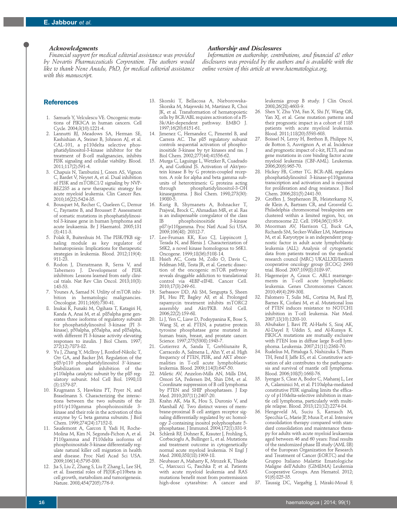### *Acknowledgments*

*Financial support for medical editorial assistance was provided by Novartis Pharmaceuticals Corporation. The authors would like to thank Nene Anadu, PhD, for medical editorial assistance with this manuscript.*

#### *Authorship and Disclosures*

*Information on authorship, contributions, and financial & other disclosures was provided by the authors and is available with the online version of this article at www.haematologica.org.*

## **References**

- 1. Samuels Y, Velculescu VE. Oncogenic mutations of PIK3CA in human cancers. Cell Cycle. 2004;3(10):1221-4.
- 2. Lannutti BJ, Meadows SA, Herman SE, Kashishian A, Steiner B, Johnson AJ, et al. CAL-101, a p110delta selective phosphatidylinositol-3-kinase inhibitor for the treatment of B-cell malignancies, inhibits PI3K signaling and cellular viability. Blood. 2011;117(2):591-4.
- 3. Chapuis N, Tamburini J, Green AS, Vignon C, Bardet V, Neyret A, et al. Dual inhibition of PI3K and mTORC1/2 signaling by NVP-BEZ235 as a new therapeutic strategy for acute myeloid leukemia. Clin Cancer Res. 2010;16(22):5424-35.
- 4. Bousquet M, Recher C, Queleen C, Demur C, Payrastre B, and Brousset P. Assessment of somatic mutations in phosphatidylinositol 3-kinase gene in human lymphoma and acute leukaemia. Br J Haematol. 2005;131 (3):411-3.
- 5. Polak R, Buitenhuis M. The PI3K/PKB signaling module as key regulator of hematopoiesis: Implications for therapeutic strategies in leukemia. Blood. 2012;119(4): 911-23.
- 6. Rodon J, Dienstmann R, Serra V, and Tabernero J. Development of PI3K inhibitors: Lessons learned from early clinical trials. Nat Rev Clin Oncol. 2013;10(3): 143-53.
- 7. Younes A, Samad N. Utility of mTOR inhibition in hematologic malignancies. Oncologist. 2011;16(6):730-41.
- 8. Inukai K, Funaki M, Ogihara T, Katagiri H, Kanda A, Anai M, et al. p85alpha gene generates three isoforms of regulatory subunit for phosphatidylinositol 3-kinase (PI 3 kinase), p50alpha, p55alpha, and p85alpha, with different PI 3-kinase activity elevating responses to insulin. J Biol Chem. 1997; 272(12):7873-82.
- Yu J, Zhang Y, McIlroy J, Rordorf-Nikolic T, Orr GA, and Backer JM. Regulation of the p85/p110 phosphatidylinositol 3'-kinase: Stabilization and inhibition of the p110alpha catalytic subunit by the p85 regulatory subunit. Mol Cell Biol. 1998;18 (3):1379-87.
- 10. Krugmann S, Hawkins PT, Pryer N, and Braselmann S. Characterizing the interactions between the two subunits of the p101/p110gamma phosphoinositide 3 kinase and their role in the activation of this enzyme by G beta gamma subunits. J Biol Chem. 1999;274(24):17152-8.
- 11. Saudemont A, Garcon F, Yadi H, Roche-Molina M, Kim N, Segonds-Pichon A, et al. P110gamma and P110delta isoforms of phosphoinositide 3-kinase differentially regulate natural killer cell migration in health and disease. Proc Natl Acad Sci USA. 2009;106(14):5795-800.
- 12. Jia S, Liu Z, Zhang S, Liu P, Zhang L, Lee SH, et al. Essential roles of PI(3)K-p110beta in cell growth, metabolism and tumorigenesis. Nature. 2008;454(7205):776-9.
- 13. Skorski T, Bellacosa A, Nieborowska-Skorska M, Majewski M, Martinez R, Choi JK, et al. Transformation of hematopoietic cells by BCR/ABL requires activation of a PI-3k/Akt-dependent pathway. EMBO J. 1997;16(20):6151-61.
- 14. Jimenez C, Hernandez C, Pimentel B, and Carrera AC. The p85 regulatory subunit controls sequential activation of phosphoinositide 3-kinase by tyr kinases and ras. J Biol Chem. 2002;277(44):41556-62.
- 15. Murga C, Laguinge L, Wetzker R, Cuadrado A, and Gutkind JS. Activation of Akt/protein kinase B by G protein-coupled receptors. A role for alpha and beta gamma subunits of heterotrimeric G proteins acting<br>through phosphatidylinositol-3-OH phosphatidylinositol-3-OH kinasegamma. J Biol Chem. 1998;273(30): 19080-5.
- 16. Kurig B, Shymanets A, Bohnacker T, Prajwal, Brock C, Ahmadian MR, et al. Ras is an indispensable coregulator of the class<br>IB phosphoinositide 3-kinase phosphoinositide p87/p110gamma. Proc Natl Acad Sci USA. 2009;106(48): 20312-7.
- 17. Lee-Fruman KK, Kuo CJ, Lippincott J, Terada N, and Blenis J. Characterization of S6K2, a novel kinase homologous to S6K1. Oncogene. 1999;18(36):5108-14.
- 18. Hsieh AC, Costa M, Zollo O, Davis C, Feldman ME, Testa JR, et al. Genetic dissection of the oncogenic mTOR pathway reveals druggable addiction to translational control via 4EBP-eIF4E. Cancer Cell. 2010;17(3):249-61.
- 19. Sarbassov DD, Ali SM, Sengupta S, Sheen JH, Hsu PP, Bagley AF, et al. Prolonged rapamycin treatment inhibits mTORC2 assembly and Akt/PKB. Mol Cell. 2006;22(2):159-68.
- Li J, Yen C, Liaw D, Podsypanina K, Bose S, Wang SI, et al. PTEN, a putative protein tyrosine phosphatase gene mutated in human brain, breast, and prostate cancer. Science. 1997;275(5308):1943-7.
- 21. Gutierrez A, Sanda T, Grebliunaite R, Carracedo A, Salmena L, Ahn Y, et al. High frequency of PTEN, PI3K, and AKT abnormalities in T-cell acute lymphoblastic leukemia. Blood. 2009;114(3):647-50.
- Miletic AV, Anzelon-Mills AN, Mills DM, Omori SA, Pedersen IM, Shin DM, et al. Coordinate suppression of B cell lymphoma by PTEN and SHIP phosphatases. J Exp Med. 2010;207(11):2407-20.
- Krahn AK, Ma K, Hou S, Duronio V, and Marshall AJ. Two distinct waves of membrane-proximal B cell antigen receptor signaling differentially regulated by src homology 2-containing inositol polyphosphate 5 phosphatase. J Immunol. 2004;172(1):331-9.
- 24. Schlenk RF, Dohner K, Krauter J, Frohling S, Corbacioglu A, Bullinger L, et al. Mutations and treatment outcome in cytogenetically normal acute myeloid leukemia. N Engl J Med. 2008;358(18):1909-18.
- 25. Neubauer A, Maharry K, Mrozek K, Thiede C, Marcucci G, Paschka P, et al. Patients with acute myeloid leukemia and RAS mutations benefit most from postremission high-dose cytarabine: A cancer and

leukemia group B study. J Clin Oncol. 2008;26(28):4603-9.

- 26. Shen Y, Zhu YM, Fan X, Shi JY, Wang QR, Yan XJ, et al. Gene mutation patterns and their prognostic impact in a cohort of 1185 patients with acute myeloid leukemia. Blood. 2011;118(20):5593-603.
- 27. Boissel N, Leroy H, Brethon B, Philippe N, de Botton S, Auvrignon A, et al. Incidence and prognostic impact of c-kit, FLT3, and ras gene mutations in core binding factor acute myeloid leukemia (CBF-AML). Leukemia. 2006;20(6):965-70.
- 28. Hickey FB, Cotter TG. BCR-ABL regulates phosphatidylinositol 3-kinase-p110gamma transcription and activation and is required for proliferation and drug resistance. J Biol Chem. 2006;281(5):2441-50.
- Groffen J, Stephenson JR, Heisterkamp N, de Klein A, Bartram CR, and Grosveld G. Philadelphia chromosomal breakpoints are clustered within a limited region, bcr, on chromosome 22. Cell. 1984;36(1):93-9.
- 30. Moorman AV, Harrison CJ, Buck GA, Richards SM, Secker-Walker LM, Martineau M, et al. Karyotype is an independent prognostic factor in adult acute lymphoblastic leukemia (ALL): Analysis of cytogenetic data from patients treated on the medical research council (MRC) UKALLXII/Eastern cooperative oncology group (ECOG) 2993 trial. Blood. 2007;109(8):3189-97.
- 31. Hagemeijer A, Graux C. ABL1 rearrangements in T-cell acute lymphoblastic leukemia. Genes Chromosomes Cancer. 2010;49(4):299-308.
- 32. Palomero T, Sulis ML, Cortina M, Real PJ, Barnes K, Ciofani M, et al. Mutational loss of PTEN induces resistance to NOTCH1 inhibition in T-cell leukemia. Nat Med. 2007;13(10):1203-10.
- 33. Abubaker J, Bavi PP, Al-Harbi S, Siraj AK, Al-Dayel F, Uddin S, and Al-Kuraya K. PIK3CA mutations are mutually exclusive with PTEN loss in diffuse large B-cell lymphoma. Leukemia. 2007;21(11):2368-70.
- 34. Rudelius M, Pittaluga S, Nishizuka S, Pham TH, Fend F, Jaffe ES, et al. Constitutive activation of akt contributes to the pathogenesis and survival of mantle cell lymphoma. Blood. 2006;108(5):1668-76.
- 35. Iyengar S, Clear A, Bodor C, Maharaj L, Lee A, Calaminici M, et al. P110alpha-mediated constitutive PI3K signaling limits the efficacy of p110delta-selective inhibition in mantle cell lymphoma, particularly with multiple relapse. Blood. 2013;121(12):2274-84.
- 36. Hengeveld M, Suciu S, Karrasch M, Specchia G, Marie JP, Muus P, et al. Intensive consolidation therapy compared with standard consolidation and maintenance therapy for adults with acute myeloid leukaemia aged between 46 and 60 years: Final results of the randomized phase III study (AML 8B) of the European Organization for Research and Treatment of Cancer (EORTC) and the Gruppo Italiano Malattie Ematologiche Maligne dell'Adulto (GIMEMA) Leukemia Cooperative Groups. Ann Hematol. 2012; 91(6):825-35.
- 37. Taussig DC, Vargaftig J, Miraki-Moud F,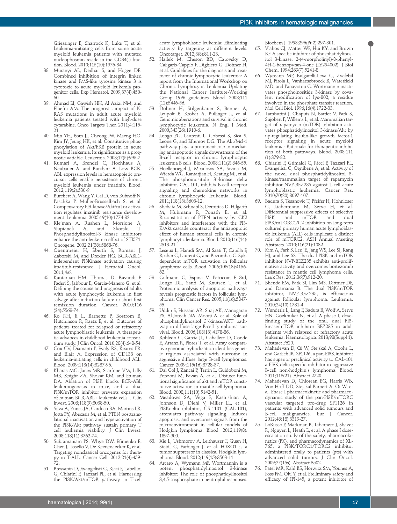Griessinger E, Sharrock K, Luke T, et al. Leukemia-initiating cells from some acute myeloid leukemia patients with mutated nucleophosmin reside in the CD34(-) fraction. Blood. 2010;115(10):1976-84.

- 38. Muranyi AL, Dedhar S, and Hogge DE. Combined inhibition of integrin linked kinase and FMS-like tyrosine kinase 3 is cytotoxic to acute myeloid leukemia progenitor cells. Exp Hematol. 2009;37(4):450- 60.
- 39. Ahmad EI, Gawish HH, Al Azizi NM, and Elhefni AM. The prognostic impact of K-RAS mutations in adult acute myeloid leukemia patients treated with high-dose cytarabine. Onco Targets Ther. 2011;4:115- 21.
- 40. Min YH, Eom JI, Cheong JW, Maeng HO, Kim JY, Jeung HK, et al. Constitutive phosphorylation of Akt/PKB protein in acute myeloid leukemia: Its significance as a prognostic variable. Leukemia. 2003;17(5):995-7.
- 41. Kumari A, Brendel C, Hochhaus A, Neubauer A, and Burchert A. Low BCR-ABL expression levels in hematopoietic precursor cells enable persistence of chronic myeloid leukemia under imatinib. Blood. 2012;119(2):530-9.
- 42. Burchert A, Wang Y, Cai D, von Bubnoff N, Paschka P, Muller-Brusselbach S, et al. Compensatory PI3-kinase/Akt/mTor activation regulates imatinib resistance development. Leukemia. 2005;19(10):1774-82.
- 43. Klejman A, Rushen L, Morrione A, and Skorski Phosphatidylinositol-3 kinase inhibitors enhance the anti-leukemia effect of STI571. Oncogene. 2002;21(38):5868-76.
- 44. Quentmeier H, Eberth S, Romani J, Zaborski M, and Drexler HG. BCR-ABL1 independent PI3Kinase activation causing imatinib-resistance. J Hematol Oncol. 2011;4:6.
- 45. Kantarjian HM, Thomas D, Ravandi F, Faderl S, Jabbour E, Garcia-Manero G, et al. Defining the course and prognosis of adults with acute lymphocytic leukemia in first salvage after induction failure or short first remission duration. Cancer. 2010;116 (24):5568-74.
- 46. Ko RH, Ji L, Barnette P, Bostrom B, Hutchinson R, Raetz E, et al. Outcome of patients treated for relapsed or refractory acute lymphoblastic leukemia: A therapeutic advances in childhood leukemia consortium study. J Clin Oncol. 2010;28(4):648-54.
- 47. Cox CV, Diamanti P, Evely RS, Kearns PR, and Blair A. Expression of CD133 on leukemia-initiating cells in childhood ALL. Blood. 2009;113(14):3287-96.
- 48. Kharas MG, Janes MR, Scarfone VM, Lilly MB, Knight ZA, Shokat KM, and Fruman DA. Ablation of PI3K blocks BCR-ABL leukemogenesis in mice, and a dual PI3K/mTOR inhibitor prevents expansion of human BCR-ABL+ leukemia cells. J Clin Invest. 2008;118(9):3038-50.
- 49. Silva A, Yunes JA, Cardoso BA, Martins LR, Jotta PY, Abecasis M, et al. PTEN posttranslational inactivation and hyperactivation of the PI3K/Akt pathway sustain primary T cell leukemia viability. J Clin Invest. 2008;118(11):3762-74.
- 50. Subramaniam PS, Whye DW, Efimenko E, Chen J, Tosello V, De Keersmaecker K, et al. Targeting nonclassical oncogenes for therapy in T-ALL. Cancer Cell. 2012;21(4):459- 72.
- 51. Bressanin D, Evangelisti C, Ricci F, Tabellini G, Chiarini F, Tazzari PL, et al. Harnessing the PI3K/Akt/mTOR pathway in T-cell

acute lymphoblastic leukemia: Eliminating activity by targeting at different levels. Oncotarget. 2012;3(8):811-23.

- 52. Hallek M, Cheson BD, Catovsky D, Caligaris-Cappio F, Dighiero G, Dohner H, et al. Guidelines for the diagnosis and treatment of chronic lymphocytic leukemia: A report from the International Workshop on Chronic Lymphocytic Leukemia Updating the National Cancer Institute-Working Group 1996 guidelines. Blood. 2008;111 (12):5446-56.
- 53. Dohner H, Stilgenbauer S, Benner A, Leupolt E, Krober A, Bullinger L, et al. Genomic aberrations and survival in chronic lymphocytic leukemia. N Engl J Med. 2000;343(26):1910-6.
- Longo PG, Laurenti L, Gobessi S, Sica S, Leone G, and Efremov DG. The Akt/Mcl-1 pathway plays a prominent role in mediating antiapoptotic signals downstream of the B-cell receptor in chronic lymphocytic leukemia B cells. Blood. 2008;111(2):846-55.
- 55. Hoellenriegel J, Meadows SA, Sivina M, Wierda WG, Kantarjian H, Keating MJ, et al. The phosphoinositide 3'-kinase delta inhibitor, CAL-101, inhibits B-cell receptor signaling and chemokine networks in chronic lymphocytic leukemia. Blood. 2011;118(13):3603-12.
- 56. Shehata M, Schnabl S, Demirtas D, Hilgarth M, Hubmann R, Ponath E, et al. Reconstitution of PTEN activity by CK2 inhibitors and interference with the PI3- K/Akt cascade counteract the antiapoptotic effect of human stromal cells in chronic lymphocytic leukemia. Blood. 2010;116(14): 2513-21.
- Leseux L, Hamdi SM, Al Saati T, Capilla F, Recher C, Laurent G, and Bezombes C. Sykdependent mTOR activation in follicular lymphoma cells. Blood. 2006;108(13):4156- 62.
- 58. Gulmann C, Espina V, Petricoin E 3rd, Longo DL, Santi M, Knutsen T, et al. Proteomic analysis of apoptotic pathways reveals prognostic factors in follicular lymphoma. Clin Cancer Res. 2005;11(16):5847- 55.
- 59. Uddin S, Hussain AR, Siraj AK, Manogaran PS, Al-Jomah NA, Moorji A, et al. Role of phosphatidylinositol 3'-kinase/AKT pathway in diffuse large B-cell lymphoma survival. Blood. 2006;108(13):4178-86.
- 60. Robledo C, Garcia JL, Caballero D, Conde E, Arranz R, Flores T, et al. Array comparative genomic hybridization identifies genetic regions associated with outcome in aggressive diffuse large B-cell lymphomas. Cancer. 2009;115(16):3728-37.
- 61. Dal Col J, Zancai P, Terrin L, Guidoboni M, Ponzoni M, Pavan A, et al. Distinct functional significance of akt and mTOR constitutive activation in mantle cell lymphoma. Blood. 2008;111(10):5142-51.
- 62. Meadows SA, Vega F, Kashishian A, Johnson D, Diehl V, Miller LL, et al. PI3Kdelta inhibitor, GS-1101 (CAL-101), attenuates pathway signaling, induces apoptosis, and overcomes signals from the microenvironment in cellular models of Hodgkin lymphoma. Blood. 2012;119(8): 1897-900.
- 63. Xie L, Ushmorov A, Leithauser F, Guan H, Steidl C, Farbinger J, et al. FOXO1 is a tumor suppressor in classical Hodgkin lymphoma. Blood. 2012;119(15):3503-11.
- 64. Arcaro A, Wymann MP. Wortmannin is a potent phosphatidylinositol 3-kinase inhibitor: The role of phosphatidylinositol 3,4,5-trisphosphate in neutrophil responses.

Biochem J. 1993;296(Pt 2):297-301.

- 65. Vlahos CJ, Matter WF, Hui KY, and Brown RF. A specific inhibitor of phosphatidylinositol 3-kinase, 2-(4-morpholinyl)-8-phenyl-4H-1-benzopyran-4-one (LY294002). J Biol Chem. 1994;269(7):5241-8.
- 66. Wymann MP, Bulgarelli-Leva G, Zvelebil MJ, Pirola L, Vanhaesebroeck B, Waterfield MD, and Panayotou G. Wortmannin inactivates phosphoinositide 3-kinase by covalent modification of lys-802, a residue involved in the phosphate transfer reaction. Mol Cell Biol. 1996;16(4):1722-33.
- 67. Tamburini J, Chapuis N, Bardet V, Park S, Sujobert P, Willems L, et al. Mammalian target of rapamycin (mTOR) inhibition activates phosphatidylinositol 3-kinase/Akt by up-regulating insulin-like growth factor-1 receptor signaling in acute myeloid leukemia: Rationale for therapeutic inhibition of both pathways. Blood. 2008;111 (1):379-82.
- 68. Chiarini F, Grimaldi C, Ricci F, Tazzari PL, Evangelisti C, Ognibene A, et al. Activity of the novel dual phosphatidylinositol 3 kinase/mammalian target of rapamycin inhibitor NVP-BEZ235 against T-cell acute lymphoblastic leukemia. Cancer Res. 2010;70(20):8097-107.
- 69. Badura S, Tesanovic T, Pfeifer H, Hohnloser C, Liebermann M, Serve H, et al. Differential suppressive effects of selective<br>PI3K and mTOR and dual  $mTOR$ PI3K/mTORC1/C2 inhibition on long-term cultured primary human acute lymphoblastic leukemia (ALL) cells implicate a distinct role of mTORC2. ASH Annual Meeting Abstracts. 2010;116(21):1032.
- 70. Kim A, Park S, Lee JE, Jang WS, Lee SJ, Kang HJ, and Lee SS. The dual PI3K and mTOR inhibitor NVP-BEZ235 exhibits anti-proliferative activity and overcomes bortezomib resistance in mantle cell lymphoma cells. Leuk Res. 2012;36(7):912-20.
- 71. Bhende PM, Park SI, Lim MS, Dittmer DP, and Damania B. The dual PI3K/mTOR inhibitor, NVP-BEZ235, is efficacious against follicular lymphoma. Leukemia. 2010;24(10):1781-4.
- 72. Wunderle L, Lang F, Badura B, Wolf A, Serve HN, Goekbuket N, et al. A phase I, dosefinding study of the oral, dual PI3 kinase/mTOR inhibitor BEZ235 in adult patients with relapsed or refractory acute leukemia. Haematologica. 2013;98(Suppl 1). Abstract P620.
- 73. Mahadevan D, Qi W, Stejskal A, Cooke L, and Garlich JR. SF1126, a pan-PI3K inhibitor has superior preclinical activity to CAL-101 a PI3K delta-specific inhibitor in aggressive B-cell non-hodgkin's lymphoma. Blood. 2011;118(21). Abstract 2720.
- 74. Mahadevan D, Chiorean EG, Harris WB, Von Hoff DD, Stejskal-Barnett A, Qi W, et al. Phase I pharmacokinetic and pharmacodynamic study of the pan-PI3K/mTORC vascular targeted pro-drug SF1126 in patients with advanced solid tumours and B-cell malignancies. Eur J Cancer. 2012;48(18):3319-27.
- 75. LoRusso P, Markman B, Tabernero J, Shazer R, Nguyen L, Heath E, et al. A phase I doseescalation study of the safety, pharmacokinetics (PK), and pharmacodynamics of XL-765, a PI3K/TORC1/TORC2 inhibitor administered orally to patients (pts) with advanced solid tumors. J Clin Oncol. 2009;27(15s). Abstract 3502.
- 76. Patel MR, Kahl BS, Horwitz SM, Younes A, Foss FM, Oki Y, et al. Preliminary safety and efficacy of IPI-145, a potent inhibitor of